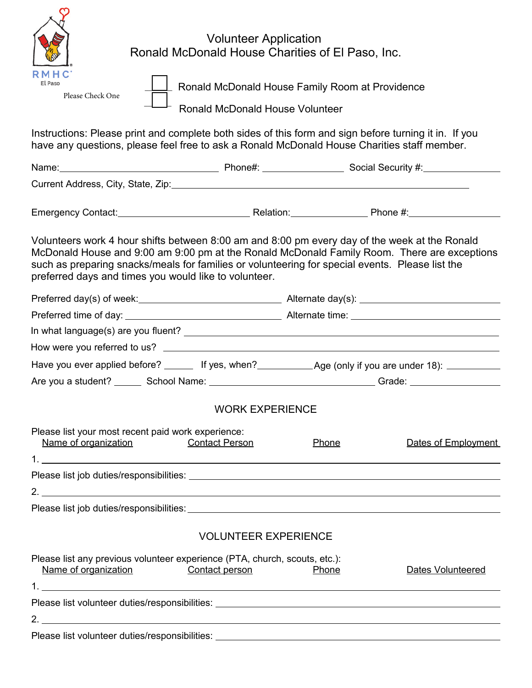| <b>Volunteer Application</b><br>Ronald McDonald House Charities of El Paso, Inc.                                                                                                                                                                                                                                                                         |  |  |  |  |
|----------------------------------------------------------------------------------------------------------------------------------------------------------------------------------------------------------------------------------------------------------------------------------------------------------------------------------------------------------|--|--|--|--|
| RMHC<br>El Paso<br>Ronald McDonald House Family Room at Providence<br>Please Check One<br><b>Ronald McDonald House Volunteer</b>                                                                                                                                                                                                                         |  |  |  |  |
| Instructions: Please print and complete both sides of this form and sign before turning it in. If you<br>have any questions, please feel free to ask a Ronald McDonald House Charities staff member.                                                                                                                                                     |  |  |  |  |
|                                                                                                                                                                                                                                                                                                                                                          |  |  |  |  |
|                                                                                                                                                                                                                                                                                                                                                          |  |  |  |  |
|                                                                                                                                                                                                                                                                                                                                                          |  |  |  |  |
| Volunteers work 4 hour shifts between 8:00 am and 8:00 pm every day of the week at the Ronald<br>McDonald House and 9:00 am 9:00 pm at the Ronald McDonald Family Room. There are exceptions<br>such as preparing snacks/meals for families or volunteering for special events. Please list the<br>preferred days and times you would like to volunteer. |  |  |  |  |
|                                                                                                                                                                                                                                                                                                                                                          |  |  |  |  |
|                                                                                                                                                                                                                                                                                                                                                          |  |  |  |  |
|                                                                                                                                                                                                                                                                                                                                                          |  |  |  |  |
|                                                                                                                                                                                                                                                                                                                                                          |  |  |  |  |
|                                                                                                                                                                                                                                                                                                                                                          |  |  |  |  |
|                                                                                                                                                                                                                                                                                                                                                          |  |  |  |  |
| <b>WORK EXPERIENCE</b>                                                                                                                                                                                                                                                                                                                                   |  |  |  |  |
| Please list your most recent paid work experience:<br>Name of organization<br><b>Contact Person</b><br>Phone<br>Dates of Employment                                                                                                                                                                                                                      |  |  |  |  |
|                                                                                                                                                                                                                                                                                                                                                          |  |  |  |  |
|                                                                                                                                                                                                                                                                                                                                                          |  |  |  |  |
|                                                                                                                                                                                                                                                                                                                                                          |  |  |  |  |
|                                                                                                                                                                                                                                                                                                                                                          |  |  |  |  |
| <b>VOLUNTEER EXPERIENCE</b>                                                                                                                                                                                                                                                                                                                              |  |  |  |  |
| Please list any previous volunteer experience (PTA, church, scouts, etc.):<br>Name of organization<br>Contact person<br><b>Dates Volunteered</b><br>Phone                                                                                                                                                                                                |  |  |  |  |
|                                                                                                                                                                                                                                                                                                                                                          |  |  |  |  |
| 2.                                                                                                                                                                                                                                                                                                                                                       |  |  |  |  |
|                                                                                                                                                                                                                                                                                                                                                          |  |  |  |  |